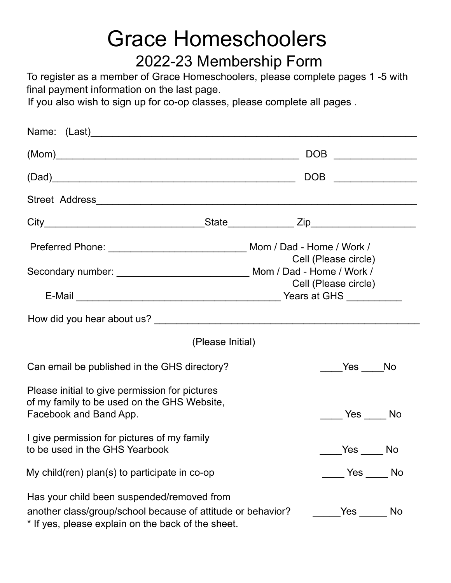# Grace Homeschoolers 2022-23 Membership Form

To register as a member of Grace Homeschoolers, please complete pages 1 -5 with final payment information on the last page.

If you also wish to sign up for co-op classes, please complete all pages .

|                                                                                                                                                                 |                      |  | DOB _______________  |
|-----------------------------------------------------------------------------------------------------------------------------------------------------------------|----------------------|--|----------------------|
| (Dad)                                                                                                                                                           |                      |  |                      |
|                                                                                                                                                                 |                      |  |                      |
|                                                                                                                                                                 |                      |  |                      |
|                                                                                                                                                                 |                      |  | Cell (Please circle) |
|                                                                                                                                                                 | Cell (Please circle) |  |                      |
|                                                                                                                                                                 |                      |  |                      |
|                                                                                                                                                                 | (Please Initial)     |  |                      |
| Can email be published in the GHS directory?                                                                                                                    |                      |  | Yes No               |
| Please initial to give permission for pictures<br>of my family to be used on the GHS Website,<br>Facebook and Band App.                                         |                      |  |                      |
| I give permission for pictures of my family<br>to be used in the GHS Yearbook                                                                                   |                      |  | <b>No</b>            |
| My child(ren) plan(s) to participate in $co$ -op                                                                                                                |                      |  |                      |
| Has your child been suspended/removed from<br>another class/group/school because of attitude or behavior?<br>* If yes, please explain on the back of the sheet. |                      |  |                      |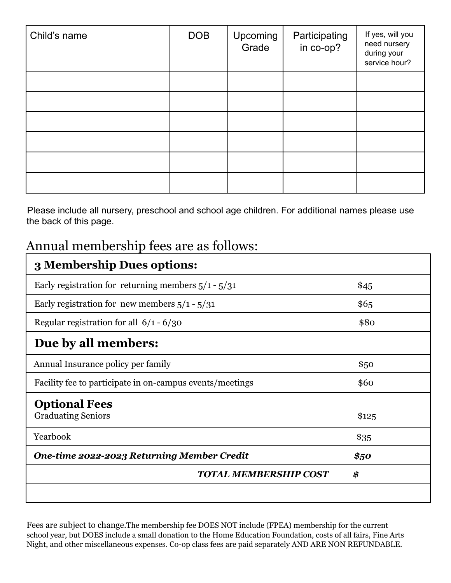| Child's name | <b>DOB</b> | Upcoming<br>Grade | Participating<br>in co-op? | If yes, will you<br>need nursery<br>during your<br>service hour? |
|--------------|------------|-------------------|----------------------------|------------------------------------------------------------------|
|              |            |                   |                            |                                                                  |
|              |            |                   |                            |                                                                  |
|              |            |                   |                            |                                                                  |
|              |            |                   |                            |                                                                  |
|              |            |                   |                            |                                                                  |
|              |            |                   |                            |                                                                  |

Please include all nursery, preschool and school age children. For additional names please use the back of this page.

### Annual membership fees are as follows:

| 3 Membership Dues options:                               |        |
|----------------------------------------------------------|--------|
| Early registration for returning members $5/1 - 5/31$    | \$45   |
| Early registration for new members $5/1 - 5/31$          | \$6,5  |
| Regular registration for all $6/1 - 6/30$                | \$80   |
| Due by all members:                                      |        |
| Annual Insurance policy per family                       | \$50   |
| Facility fee to participate in on-campus events/meetings | \$60   |
| <b>Optional Fees</b><br><b>Graduating Seniors</b>        | \$125  |
| Yearbook                                                 | $\$35$ |
| <b>One-time 2022-2023 Returning Member Credit</b>        | \$50   |
| <b>TOTAL MEMBERSHIP COST</b>                             | \$     |
|                                                          |        |

Fees are subject to change.The membership fee DOES NOT include (FPEA) membership for the current school year, but DOES include a small donation to the Home Education Foundation, costs of all fairs, Fine Arts Night, and other miscellaneous expenses. Co-op class fees are paid separately AND ARE NON REFUNDABLE.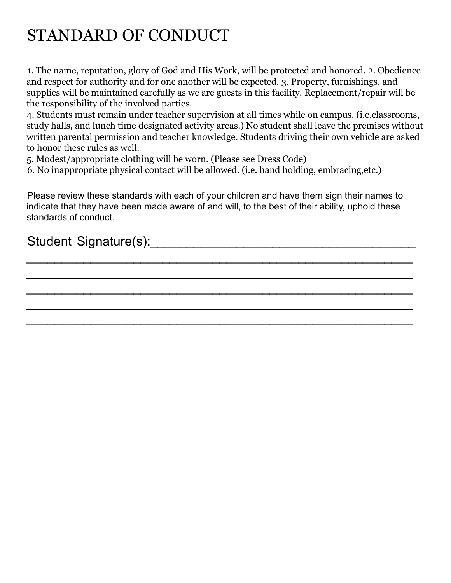# STANDARD OF CONDUCT

1. The name, reputation, glory of God and His Work, will be protected and honored. 2. Obedience and respect for authority and for one another will be expected. 3. Property, furnishings, and supplies will be maintained carefully as we are guests in this facility. Replacement/repair will be the responsibility of the involved parties.

4. Students must remain under teacher supervision at all times while on campus. (i.e.classrooms, study halls, and lunch time designated activity areas.) No student shall leave the premises without written parental permission and teacher knowledge. Students driving their own vehicle are asked to honor these rules as well.

5. Modest/appropriate clothing will be worn. (Please see Dress Code)

6. No inappropriate physical contact will be allowed. (i.e. hand holding, embracing,etc.)

Please review these standards with each of your children and have them sign their names to indicate that they have been made aware of and will, to the best of their ability, uphold these standards of conduct.

 $\overline{\phantom{a}}$  , and the contract of the contract of the contract of the contract of the contract of the contract of the contract of the contract of the contract of the contract of the contract of the contract of the contrac

 $\overline{\phantom{a}}$  , and the contract of the contract of the contract of the contract of the contract of the contract of the contract of the contract of the contract of the contract of the contract of the contract of the contrac

 $\overline{\phantom{a}}$  , and the contract of the contract of the contract of the contract of the contract of the contract of the contract of the contract of the contract of the contract of the contract of the contract of the contrac

 $\overline{\phantom{a}}$  , and the contract of the contract of the contract of the contract of the contract of the contract of the contract of the contract of the contract of the contract of the contract of the contract of the contrac

 $\mathcal{L}_\text{G}$  , and the contribution of the contribution of the contribution of the contribution of the contribution of the contribution of the contribution of the contribution of the contribution of the contribution of t

### Student Signature(s):\_\_\_\_\_\_\_\_\_\_\_\_\_\_\_\_\_\_\_\_\_\_\_\_\_\_\_\_\_\_\_\_\_\_\_\_\_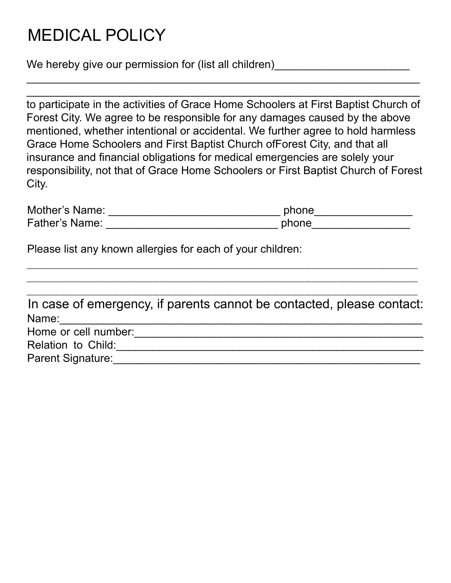## MEDICAL POLICY

We hereby give our permission for (list all children)

to participate in the activities of Grace Home Schoolers at First Baptist Church of Forest City. We agree to be responsible for any damages caused by the above mentioned, whether intentional or accidental. We further agree to hold harmless Grace Home Schoolers and First Baptist Church ofForest City, and that all insurance and financial obligations for medical emergencies are solely your responsibility, not that of Grace Home Schoolers or First Baptist Church of Forest City.

 $\_$  , and the contribution of the contribution of  $\mathcal{L}_\mathcal{A}$  , and the contribution of  $\mathcal{L}_\mathcal{A}$  $\_$  , and the contribution of the contribution of  $\mathcal{L}_\mathcal{A}$  , and the contribution of  $\mathcal{L}_\mathcal{A}$ 

| Mother's Name:        | phone |
|-----------------------|-------|
| <b>Father's Name:</b> | phone |

 $\_$  , and the contribution of the contribution of  $\overline{a}$  , and  $\overline{a}$  , and  $\overline{a}$  , and  $\overline{a}$  , and  $\overline{a}$  , and  $\overline{a}$  , and  $\overline{a}$  , and  $\overline{a}$  , and  $\overline{a}$  , and  $\overline{a}$  , and  $\overline{a}$  , and  $\overline{a$  $\_$  , and the contribution of the contribution of  $\overline{a}$  , and  $\overline{a}$  , and  $\overline{a}$  , and  $\overline{a}$  , and  $\overline{a}$  , and  $\overline{a}$  , and  $\overline{a}$  , and  $\overline{a}$  , and  $\overline{a}$  , and  $\overline{a}$  , and  $\overline{a}$  , and  $\overline{a$ 

Please list any known allergies for each of your children:

|                      | In case of emergency, if parents cannot be contacted, please contact: |
|----------------------|-----------------------------------------------------------------------|
| Name:                |                                                                       |
| Home or cell number: |                                                                       |
| Relation to Child:   |                                                                       |

Parent Signature:\_\_\_\_\_\_\_\_\_\_\_\_\_\_\_\_\_\_\_\_\_\_\_\_\_\_\_\_\_\_\_\_\_\_\_\_\_\_\_\_\_\_\_\_\_\_\_\_\_\_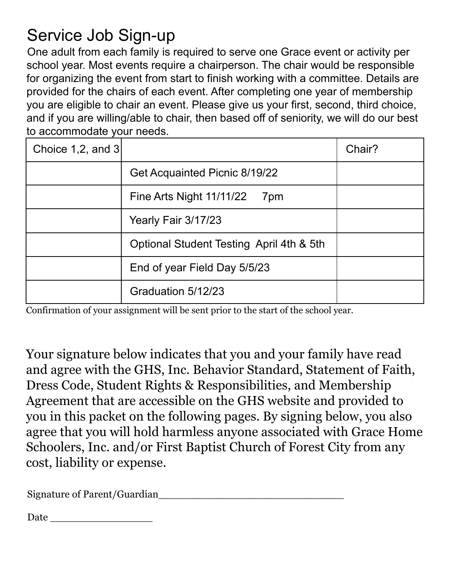## Service Job Sign-up

One adult from each family is required to serve one Grace event or activity per school year. Most events require a chairperson. The chair would be responsible for organizing the event from start to finish working with a committee. Details are provided for the chairs of each event. After completing one year of membership you are eligible to chair an event. Please give us your first, second, third choice, and if you are willing/able to chair, then based off of seniority, we will do our best to accommodate your needs.

| Choice 1,2, and $3$ |                                          | Chair? |
|---------------------|------------------------------------------|--------|
|                     | Get Acquainted Picnic 8/19/22            |        |
|                     | Fine Arts Night 11/11/22<br>7pm          |        |
|                     | Yearly Fair 3/17/23                      |        |
|                     | Optional Student Testing April 4th & 5th |        |
|                     | End of year Field Day 5/5/23             |        |
|                     | Graduation 5/12/23                       |        |

Confirmation of your assignment will be sent prior to the start of the school year.

Your signature below indicates that you and your family have read and agree with the GHS, Inc. Behavior Standard, Statement of Faith, Dress Code, Student Rights & Responsibilities, and Membership Agreement that are accessible on the GHS website and provided to you in this packet on the following pages. By signing below, you also agree that you will hold harmless anyone associated with Grace Home Schoolers, Inc. and/or First Baptist Church of Forest City from any cost, liability or expense.

Signature of Parent/Guardian

Date \_\_\_\_\_\_\_\_\_\_\_\_\_\_\_\_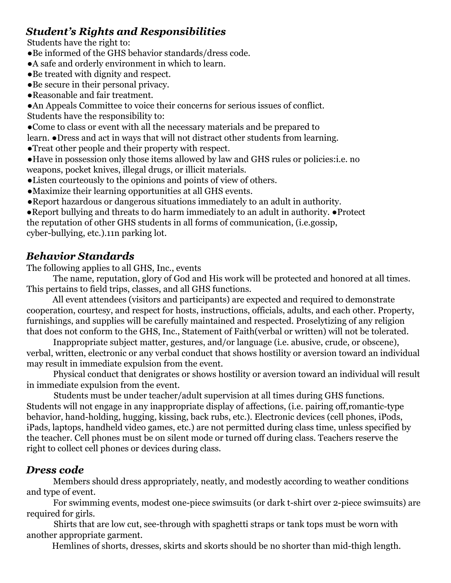#### *Student's Rights and Responsibilities*

Students have the right to:

- ●Be informed of the GHS behavior standards/dress code.
- ●A safe and orderly environment in which to learn.
- ●Be treated with dignity and respect.
- ●Be secure in their personal privacy.
- ●Reasonable and fair treatment.

●An Appeals Committee to voice their concerns for serious issues of conflict. Students have the responsibility to:

●Come to class or event with all the necessary materials and be prepared to

learn. ●Dress and act in ways that will not distract other students from learning.

- ●Treat other people and their property with respect.
- ●Have in possession only those items allowed by law and GHS rules or policies:i.e. no weapons, pocket knives, illegal drugs, or illicit materials.
- ●Listen courteously to the opinions and points of view of others.
- ●Maximize their learning opportunities at all GHS events.
- ●Report hazardous or dangerous situations immediately to an adult in authority.

●Report bullying and threats to do harm immediately to an adult in authority. ●Protect the reputation of other GHS students in all forms of communication, (i.e.gossip, cyber-bullying, etc.).11n parking lot.

#### *Behavior Standards*

The following applies to all GHS, Inc., events

The name, reputation, glory of God and His work will be protected and honored at all times. This pertains to field trips, classes, and all GHS functions.

All event attendees (visitors and participants) are expected and required to demonstrate cooperation, courtesy, and respect for hosts, instructions, officials, adults, and each other. Property, furnishings, and supplies will be carefully maintained and respected. Proselytizing of any religion that does not conform to the GHS, Inc., Statement of Faith(verbal or written) will not be tolerated.

Inappropriate subject matter, gestures, and/or language (i.e. abusive, crude, or obscene), verbal, written, electronic or any verbal conduct that shows hostility or aversion toward an individual may result in immediate expulsion from the event.

Physical conduct that denigrates or shows hostility or aversion toward an individual will result in immediate expulsion from the event.

Students must be under teacher/adult supervision at all times during GHS functions. Students will not engage in any inappropriate display of affections, (i.e. pairing off,romantic-type behavior, hand-holding, hugging, kissing, back rubs, etc.). Electronic devices (cell phones, iPods, iPads, laptops, handheld video games, etc.) are not permitted during class time, unless specified by the teacher. Cell phones must be on silent mode or turned off during class. Teachers reserve the right to collect cell phones or devices during class.

#### *Dress code*

Members should dress appropriately, neatly, and modestly according to weather conditions and type of event.

For swimming events, modest one-piece swimsuits (or dark t-shirt over 2-piece swimsuits) are required for girls.

Shirts that are low cut, see-through with spaghetti straps or tank tops must be worn with another appropriate garment.

Hemlines of shorts, dresses, skirts and skorts should be no shorter than mid-thigh length.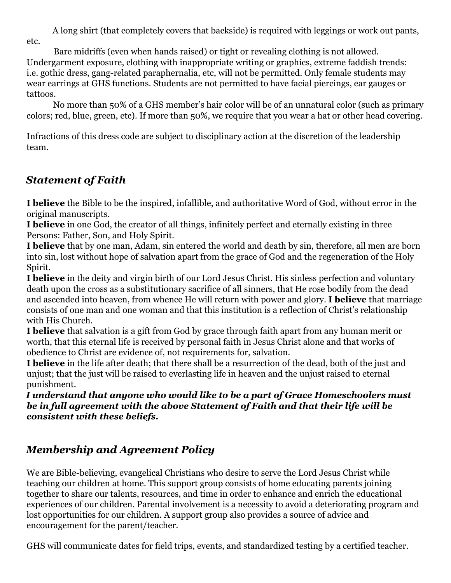A long shirt (that completely covers that backside) is required with leggings or work out pants, etc.

Bare midriffs (even when hands raised) or tight or revealing clothing is not allowed. Undergarment exposure, clothing with inappropriate writing or graphics, extreme faddish trends: i.e. gothic dress, gang-related paraphernalia, etc, will not be permitted. Only female students may wear earrings at GHS functions. Students are not permitted to have facial piercings, ear gauges or tattoos.

No more than 50% of a GHS member's hair color will be of an unnatural color (such as primary colors; red, blue, green, etc). If more than 50%, we require that you wear a hat or other head covering.

Infractions of this dress code are subject to disciplinary action at the discretion of the leadership team.

### *Statement of Faith*

**I believe** the Bible to be the inspired, infallible, and authoritative Word of God, without error in the original manuscripts.

**I believe** in one God, the creator of all things, infinitely perfect and eternally existing in three Persons: Father, Son, and Holy Spirit.

**I believe** that by one man, Adam, sin entered the world and death by sin, therefore, all men are born into sin, lost without hope of salvation apart from the grace of God and the regeneration of the Holy Spirit.

**I believe** in the deity and virgin birth of our Lord Jesus Christ. His sinless perfection and voluntary death upon the cross as a substitutionary sacrifice of all sinners, that He rose bodily from the dead and ascended into heaven, from whence He will return with power and glory. **I believe** that marriage consists of one man and one woman and that this institution is a reflection of Christ's relationship with His Church.

**I believe** that salvation is a gift from God by grace through faith apart from any human merit or worth, that this eternal life is received by personal faith in Jesus Christ alone and that works of obedience to Christ are evidence of, not requirements for, salvation.

**I believe** in the life after death; that there shall be a resurrection of the dead, both of the just and unjust; that the just will be raised to everlasting life in heaven and the unjust raised to eternal punishment.

*I understand that anyone who would like to be a part of Grace Homeschoolers must be in full agreement with the above Statement of Faith and that their life will be consistent with these beliefs.*

### *Membership and Agreement Policy*

We are Bible-believing, evangelical Christians who desire to serve the Lord Jesus Christ while teaching our children at home. This support group consists of home educating parents joining together to share our talents, resources, and time in order to enhance and enrich the educational experiences of our children. Parental involvement is a necessity to avoid a deteriorating program and lost opportunities for our children. A support group also provides a source of advice and encouragement for the parent/teacher.

GHS will communicate dates for field trips, events, and standardized testing by a certified teacher.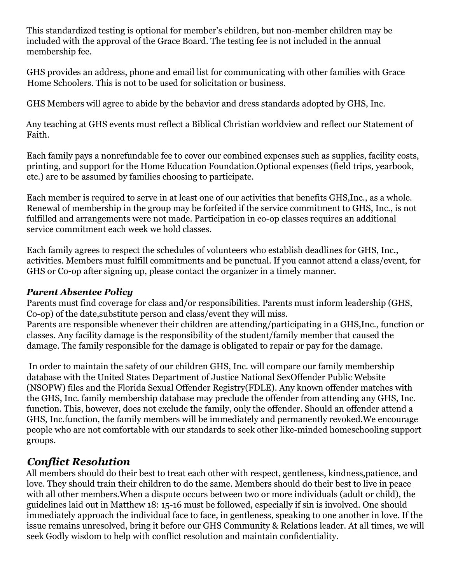This standardized testing is optional for member's children, but non-member children may be included with the approval of the Grace Board. The testing fee is not included in the annual membership fee.

GHS provides an address, phone and email list for communicating with other families with Grace Home Schoolers. This is not to be used for solicitation or business.

GHS Members will agree to abide by the behavior and dress standards adopted by GHS, Inc.

Any teaching at GHS events must reflect a Biblical Christian worldview and reflect our Statement of Faith.

Each family pays a nonrefundable fee to cover our combined expenses such as supplies, facility costs, printing, and support for the Home Education Foundation.Optional expenses (field trips, yearbook, etc.) are to be assumed by families choosing to participate.

Each member is required to serve in at least one of our activities that benefits GHS,Inc., as a whole. Renewal of membership in the group may be forfeited if the service commitment to GHS, Inc., is not fulfilled and arrangements were not made. Participation in co-op classes requires an additional service commitment each week we hold classes.

Each family agrees to respect the schedules of volunteers who establish deadlines for GHS, Inc., activities. Members must fulfill commitments and be punctual. If you cannot attend a class/event, for GHS or Co-op after signing up, please contact the organizer in a timely manner.

#### *Parent Absentee Policy*

Parents must find coverage for class and/or responsibilities. Parents must inform leadership (GHS, Co-op) of the date,substitute person and class/event they will miss. Parents are responsible whenever their children are attending/participating in a GHS,Inc., function or classes. Any facility damage is the responsibility of the student/family member that caused the damage. The family responsible for the damage is obligated to repair or pay for the damage.

In order to maintain the safety of our children GHS, Inc. will compare our family membership database with the United States Department of Justice National SexOffender Public Website (NSOPW) files and the Florida Sexual Offender Registry(FDLE). Any known offender matches with the GHS, Inc. family membership database may preclude the offender from attending any GHS, Inc. function. This, however, does not exclude the family, only the offender. Should an offender attend a GHS, Inc.function, the family members will be immediately and permanently revoked.We encourage people who are not comfortable with our standards to seek other like-minded homeschooling support groups.

### *Conflict Resolution*

All members should do their best to treat each other with respect, gentleness, kindness,patience, and love. They should train their children to do the same. Members should do their best to live in peace with all other members.When a dispute occurs between two or more individuals (adult or child), the guidelines laid out in Matthew 18: 15-16 must be followed, especially if sin is involved. One should immediately approach the individual face to face, in gentleness, speaking to one another in love. If the issue remains unresolved, bring it before our GHS Community & Relations leader. At all times, we will seek Godly wisdom to help with conflict resolution and maintain confidentiality.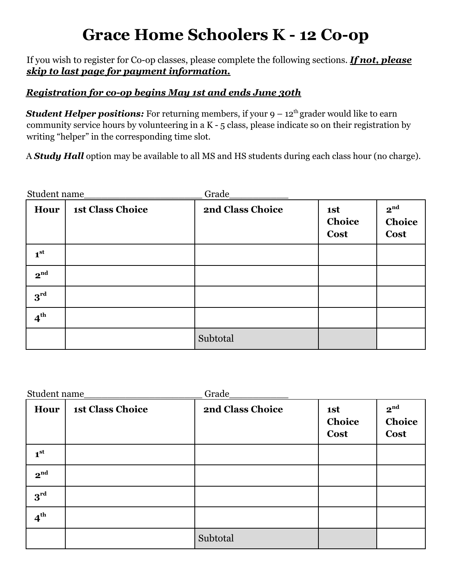### **Grace Home Schoolers K - 12 Co-op**

If you wish to register for Co-op classes, please complete the following sections. *If not, please skip to last page for payment information.*

#### *Registration for co-op begins May 1st and ends June 30th*

*Student Helper positions:* For returning members, if your  $9 - 12<sup>th</sup>$  grader would like to earn community service hours by volunteering in a K - 5 class, please indicate so on their registration by writing "helper" in the corresponding time slot.

A *Study Hall* option may be available to all MS and HS students during each class hour (no charge).

| Student name    |                         | Grade            |                       |                                          |
|-----------------|-------------------------|------------------|-----------------------|------------------------------------------|
| Hour            | <b>1st Class Choice</b> | 2nd Class Choice | 1st<br>Choice<br>Cost | 2 <sup>nd</sup><br>Choice<br><b>Cost</b> |
| 1 <sup>st</sup> |                         |                  |                       |                                          |
| 2 <sup>nd</sup> |                         |                  |                       |                                          |
| $3^{rd}$        |                         |                  |                       |                                          |
| $4^{th}$        |                         |                  |                       |                                          |
|                 |                         | Subtotal         |                       |                                          |

| Student name    |                         | Grade            |                              |                                   |
|-----------------|-------------------------|------------------|------------------------------|-----------------------------------|
| Hour            | <b>1st Class Choice</b> | 2nd Class Choice | 1st<br>Choice<br><b>Cost</b> | 2 <sup>nd</sup><br>Choice<br>Cost |
| 1 <sup>st</sup> |                         |                  |                              |                                   |
| 2 <sup>nd</sup> |                         |                  |                              |                                   |
| $3^{rd}$        |                         |                  |                              |                                   |
| 4 <sup>th</sup> |                         |                  |                              |                                   |
|                 |                         | Subtotal         |                              |                                   |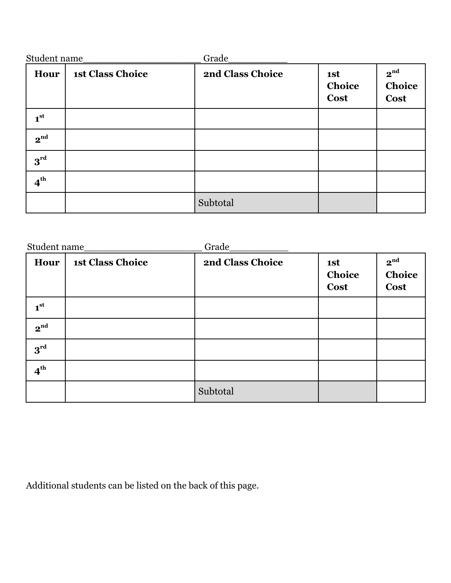| Student name    |                         | Grade            |                       |                                          |
|-----------------|-------------------------|------------------|-----------------------|------------------------------------------|
| Hour            | <b>1st Class Choice</b> | 2nd Class Choice | 1st<br>Choice<br>Cost | 2 <sup>nd</sup><br>Choice<br><b>Cost</b> |
| 1 <sup>st</sup> |                         |                  |                       |                                          |
| 2 <sup>nd</sup> |                         |                  |                       |                                          |
| $3^{\text{rd}}$ |                         |                  |                       |                                          |
| 4 <sup>th</sup> |                         |                  |                       |                                          |
|                 |                         | Subtotal         |                       |                                          |

| Student name_   |                         | Grade_           |                       |                                          |
|-----------------|-------------------------|------------------|-----------------------|------------------------------------------|
| Hour            | <b>1st Class Choice</b> | 2nd Class Choice | 1st<br>Choice<br>Cost | 2 <sup>nd</sup><br>Choice<br><b>Cost</b> |
| 1 <sup>st</sup> |                         |                  |                       |                                          |
| 2 <sup>nd</sup> |                         |                  |                       |                                          |
| $3^{rd}$        |                         |                  |                       |                                          |
| 4 <sup>th</sup> |                         |                  |                       |                                          |
|                 |                         | Subtotal         |                       |                                          |

Additional students can be listed on the back of this page.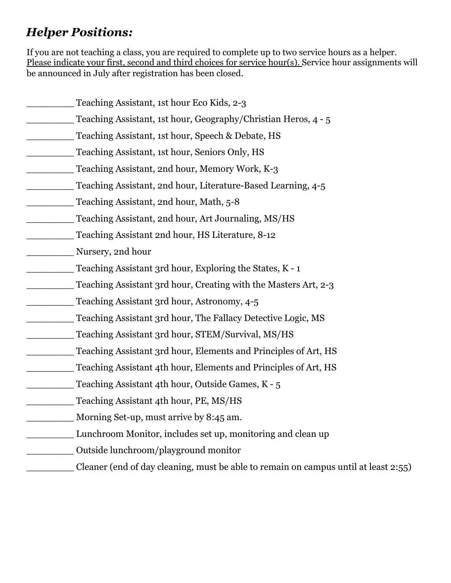### *Helper Positions:*

If you are not teaching a class, you are required to complete up to two service hours as a helper. Please indicate your first, second and third choices for service hour(s). Service hour assignments will be announced in July after registration has been closed.

| Teaching Assistant, 1st hour Eco Kids, 2-3                                          |
|-------------------------------------------------------------------------------------|
| Teaching Assistant, 1st hour, Geography/Christian Heros, 4 - 5                      |
| Teaching Assistant, 1st hour, Speech & Debate, HS                                   |
| Teaching Assistant, 1st hour, Seniors Only, HS                                      |
| Teaching Assistant, 2nd hour, Memory Work, K-3                                      |
| Teaching Assistant, 2nd hour, Literature-Based Learning, 4-5                        |
| Teaching Assistant, 2nd hour, Math, 5-8                                             |
| Teaching Assistant, 2nd hour, Art Journaling, MS/HS                                 |
| Teaching Assistant 2nd hour, HS Literature, 8-12                                    |
| Nursery, 2nd hour                                                                   |
| Teaching Assistant 3rd hour, Exploring the States, K - 1                            |
| Teaching Assistant 3rd hour, Creating with the Masters Art, 2-3                     |
| Teaching Assistant 3rd hour, Astronomy, 4-5                                         |
| Teaching Assistant 3rd hour, The Fallacy Detective Logic, MS                        |
| Teaching Assistant 3rd hour, STEM/Survival, MS/HS                                   |
| Teaching Assistant 3rd hour, Elements and Principles of Art, HS                     |
| Teaching Assistant 4th hour, Elements and Principles of Art, HS                     |
| Teaching Assistant 4th hour, Outside Games, K - 5                                   |
| Teaching Assistant 4th hour, PE, MS/HS                                              |
| Morning Set-up, must arrive by 8:45 am.                                             |
| Lunchroom Monitor, includes set up, monitoring and clean up                         |
| Outside lunchroom/playground monitor                                                |
| Cleaner (end of day cleaning, must be able to remain on campus until at least 2:55) |